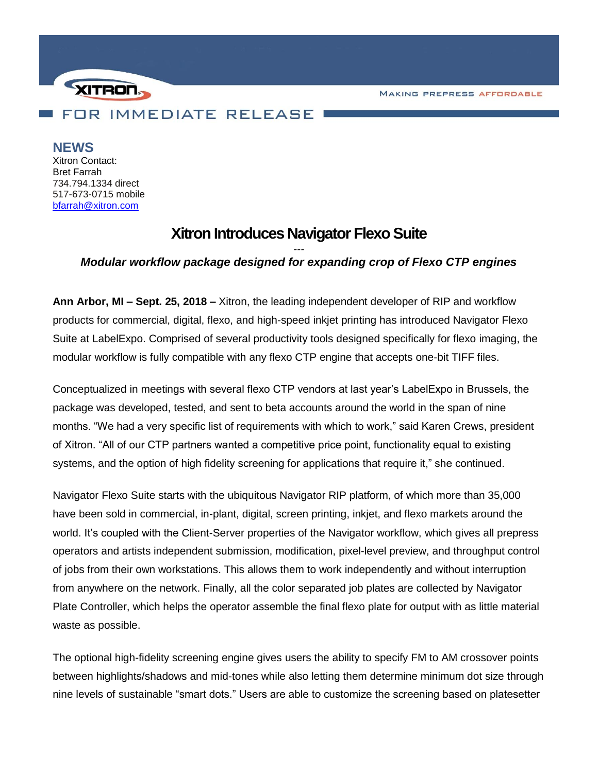**MAKING PREPRESS AFFORDABLE** 



**NEWS**

Xitron Contact: Bret Farrah 734.794.1334 direct 517-673-0715 mobile [bfarrah@xitron.com](mailto:bfarrah@xitron.com)

## **Xitron Introduces Navigator Flexo Suite**

## *--- Modular workflow package designed for expanding crop of Flexo CTP engines*

**Ann Arbor, MI – Sept. 25, 2018 –** Xitron, the leading independent developer of RIP and workflow products for commercial, digital, flexo, and high-speed inkjet printing has introduced Navigator Flexo Suite at LabelExpo. Comprised of several productivity tools designed specifically for flexo imaging, the modular workflow is fully compatible with any flexo CTP engine that accepts one-bit TIFF files.

Conceptualized in meetings with several flexo CTP vendors at last year's LabelExpo in Brussels, the package was developed, tested, and sent to beta accounts around the world in the span of nine months. "We had a very specific list of requirements with which to work," said Karen Crews, president of Xitron. "All of our CTP partners wanted a competitive price point, functionality equal to existing systems, and the option of high fidelity screening for applications that require it," she continued.

Navigator Flexo Suite starts with the ubiquitous Navigator RIP platform, of which more than 35,000 have been sold in commercial, in-plant, digital, screen printing, inkjet, and flexo markets around the world. It's coupled with the Client-Server properties of the Navigator workflow, which gives all prepress operators and artists independent submission, modification, pixel-level preview, and throughput control of jobs from their own workstations. This allows them to work independently and without interruption from anywhere on the network. Finally, all the color separated job plates are collected by Navigator Plate Controller, which helps the operator assemble the final flexo plate for output with as little material waste as possible.

The optional high-fidelity screening engine gives users the ability to specify FM to AM crossover points between highlights/shadows and mid-tones while also letting them determine minimum dot size through nine levels of sustainable "smart dots." Users are able to customize the screening based on platesetter